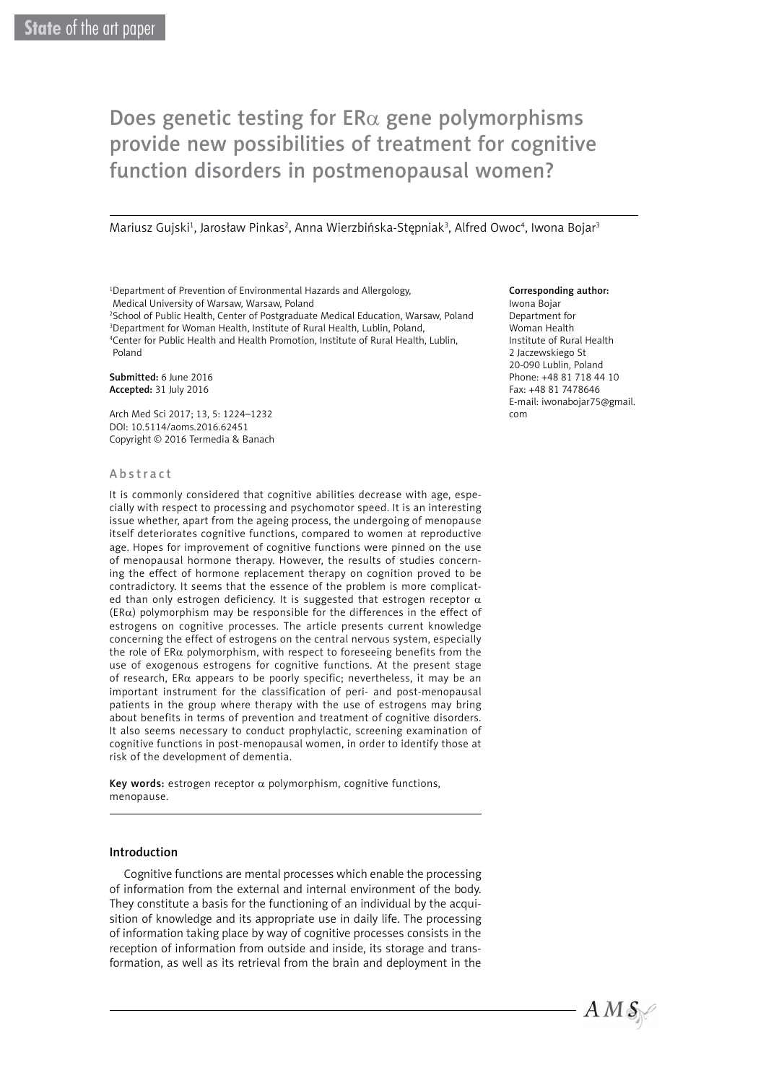# Does genetic testing for  $ER\alpha$  gene polymorphisms provide new possibilities of treatment for cognitive function disorders in postmenopausal women?

Mariusz Gujski<sup>1</sup>, Jarosław Pinkas<sup>2</sup>, Anna Wierzbińska-Stępniak<sup>3</sup>, Alfred Owoc<sup>4</sup>, Iwona Bojar<sup>3</sup>

1 Department of Prevention of Environmental Hazards and Allergology, Medical University of Warsaw, Warsaw, Poland

 School of Public Health, Center of Postgraduate Medical Education, Warsaw, Poland Department for Woman Health, Institute of Rural Health, Lublin, Poland, Center for Public Health and Health Promotion, Institute of Rural Health, Lublin, Poland

Submitted: 6 June 2016 Accepted: 31 July 2016

Arch Med Sci 2017; 13, 5: 1224–1232 DOI: 10.5114/aoms.2016.62451 Copyright © 2016 Termedia & Banach

#### Abstract

It is commonly considered that cognitive abilities decrease with age, especially with respect to processing and psychomotor speed. It is an interesting issue whether, apart from the ageing process, the undergoing of menopause itself deteriorates cognitive functions, compared to women at reproductive age. Hopes for improvement of cognitive functions were pinned on the use of menopausal hormone therapy. However, the results of studies concerning the effect of hormone replacement therapy on cognition proved to be contradictory. It seems that the essence of the problem is more complicated than only estrogen deficiency. It is suggested that estrogen receptor  $\alpha$ ( $ER\alpha$ ) polymorphism may be responsible for the differences in the effect of estrogens on cognitive processes. The article presents current knowledge concerning the effect of estrogens on the central nervous system, especially the role of ERα polymorphism, with respect to foreseeing benefits from the use of exogenous estrogens for cognitive functions. At the present stage of research,  $E R \alpha$  appears to be poorly specific; nevertheless, it may be an important instrument for the classification of peri- and post-menopausal patients in the group where therapy with the use of estrogens may bring about benefits in terms of prevention and treatment of cognitive disorders. It also seems necessary to conduct prophylactic, screening examination of cognitive functions in post-menopausal women, in order to identify those at risk of the development of dementia.

Key words: estrogen receptor  $\alpha$  polymorphism, cognitive functions, menopause.

#### Introduction

Cognitive functions are mental processes which enable the processing of information from the external and internal environment of the body. They constitute a basis for the functioning of an individual by the acquisition of knowledge and its appropriate use in daily life. The processing of information taking place by way of cognitive processes consists in the reception of information from outside and inside, its storage and transformation, as well as its retrieval from the brain and deployment in the

#### Corresponding author:

Iwona Bojar Department for Woman Health Institute of Rural Health 2 Jaczewskiego St 20-090 Lublin, Poland Phone: +48 81 718 44 10 Fax: +48 81 7478646 E-mail: [iwonabojar75@gmail.](mailto:iwonabojar75@gmail.com) [com](mailto:iwonabojar75@gmail.com)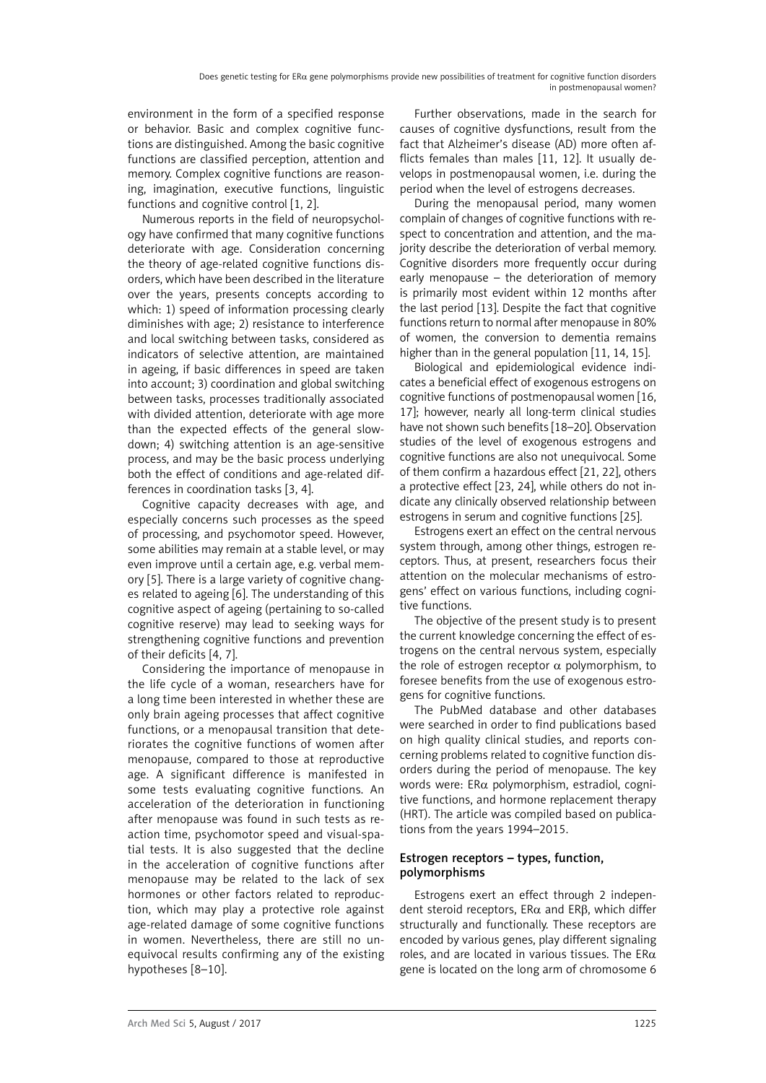environment in the form of a specified response or behavior. Basic and complex cognitive functions are distinguished. Among the basic cognitive functions are classified perception, attention and memory. Complex cognitive functions are reasoning, imagination, executive functions, linguistic functions and cognitive control [1, 2].

Numerous reports in the field of neuropsychology have confirmed that many cognitive functions deteriorate with age. Consideration concerning the theory of age-related cognitive functions disorders, which have been described in the literature over the years, presents concepts according to which: 1) speed of information processing clearly diminishes with age; 2) resistance to interference and local switching between tasks, considered as indicators of selective attention, are maintained in ageing, if basic differences in speed are taken into account; 3) coordination and global switching between tasks, processes traditionally associated with divided attention, deteriorate with age more than the expected effects of the general slowdown; 4) switching attention is an age-sensitive process, and may be the basic process underlying both the effect of conditions and age-related differences in coordination tasks [3, 4].

Cognitive capacity decreases with age, and especially concerns such processes as the speed of processing, and psychomotor speed. However, some abilities may remain at a stable level, or may even improve until a certain age, e.g. verbal memory [5]. There is a large variety of cognitive changes related to ageing [6]. The understanding of this cognitive aspect of ageing (pertaining to so-called cognitive reserve) may lead to seeking ways for strengthening cognitive functions and prevention of their deficits [4, 7].

Considering the importance of menopause in the life cycle of a woman, researchers have for a long time been interested in whether these are only brain ageing processes that affect cognitive functions, or a menopausal transition that deteriorates the cognitive functions of women after menopause, compared to those at reproductive age. A significant difference is manifested in some tests evaluating cognitive functions. An acceleration of the deterioration in functioning after menopause was found in such tests as reaction time, psychomotor speed and visual-spatial tests. It is also suggested that the decline in the acceleration of cognitive functions after menopause may be related to the lack of sex hormones or other factors related to reproduction, which may play a protective role against age-related damage of some cognitive functions in women. Nevertheless, there are still no unequivocal results confirming any of the existing hypotheses [8–10].

Further observations, made in the search for causes of cognitive dysfunctions, result from the fact that Alzheimer's disease (AD) more often afflicts females than males [11, 12]. It usually develops in postmenopausal women, i.e. during the period when the level of estrogens decreases.

During the menopausal period, many women complain of changes of cognitive functions with respect to concentration and attention, and the majority describe the deterioration of verbal memory. Cognitive disorders more frequently occur during early menopause – the deterioration of memory is primarily most evident within 12 months after the last period [13]. Despite the fact that cognitive functions return to normal after menopause in 80% of women, the conversion to dementia remains higher than in the general population [11, 14, 15].

Biological and epidemiological evidence indicates a beneficial effect of exogenous estrogens on cognitive functions of postmenopausal women [16, 17]; however, nearly all long-term clinical studies have not shown such benefits [18–20]. Observation studies of the level of exogenous estrogens and cognitive functions are also not unequivocal. Some of them confirm a hazardous effect [21, 22], others a protective effect [23, 24], while others do not indicate any clinically observed relationship between estrogens in serum and cognitive functions [25].

Estrogens exert an effect on the central nervous system through, among other things, estrogen receptors. Thus, at present, researchers focus their attention on the molecular mechanisms of estrogens' effect on various functions, including cognitive functions.

The objective of the present study is to present the current knowledge concerning the effect of estrogens on the central nervous system, especially the role of estrogen receptor  $\alpha$  polymorphism, to foresee benefits from the use of exogenous estrogens for cognitive functions.

The PubMed database and other databases were searched in order to find publications based on high quality clinical studies, and reports concerning problems related to cognitive function disorders during the period of menopause. The key words were: ERα polymorphism, estradiol, cognitive functions, and hormone replacement therapy (HRT). The article was compiled based on publications from the years 1994–2015.

# Estrogen receptors – types, function, polymorphisms

Estrogens exert an effect through 2 independent steroid receptors,  $ER\alpha$  and ERB, which differ structurally and functionally. These receptors are encoded by various genes, play different signaling roles, and are located in various tissues. The  $E R \alpha$ gene is located on the long arm of chromosome 6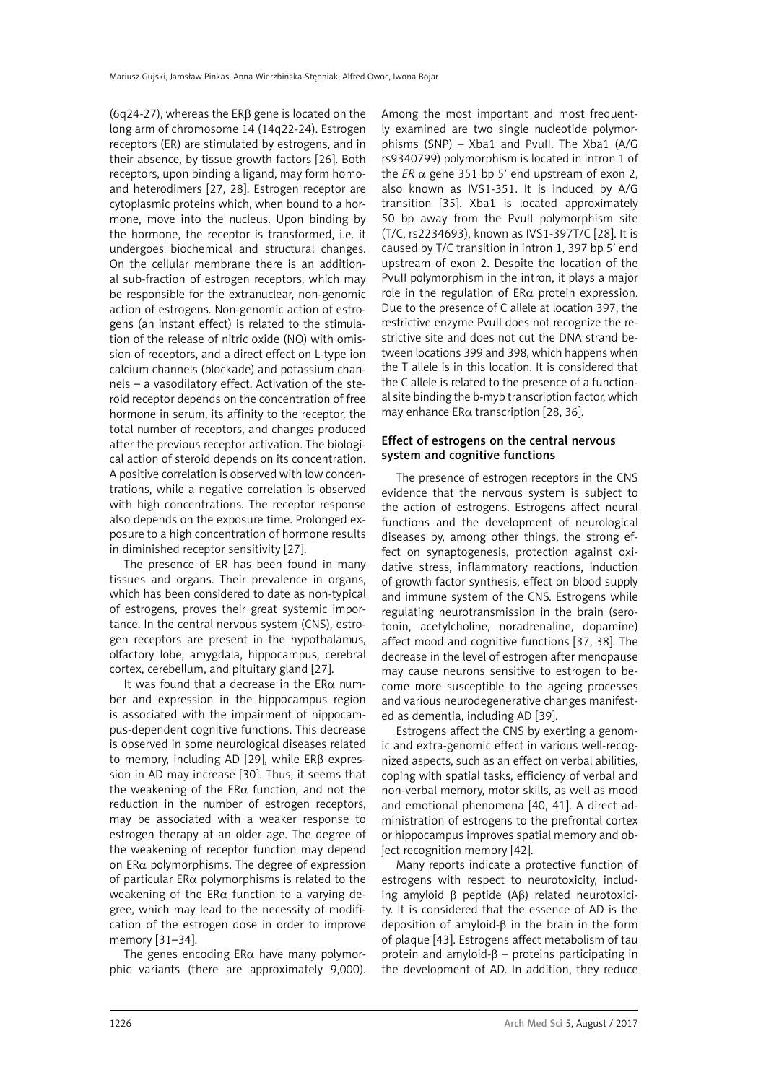(6q24-27), whereas the ERβ gene is located on the long arm of chromosome 14 (14q22-24). Estrogen receptors (ER) are stimulated by estrogens, and in their absence, by tissue growth factors [26]. Both receptors, upon binding a ligand, may form homoand heterodimers [27, 28]. Estrogen receptor are cytoplasmic proteins which, when bound to a hormone, move into the nucleus. Upon binding by the hormone, the receptor is transformed, i.e. it undergoes biochemical and structural changes. On the cellular membrane there is an additional sub-fraction of estrogen receptors, which may be responsible for the extranuclear, non-genomic action of estrogens. Non-genomic action of estrogens (an instant effect) is related to the stimulation of the release of nitric oxide (NO) with omission of receptors, and a direct effect on L-type ion calcium channels (blockade) and potassium channels – a vasodilatory effect. Activation of the steroid receptor depends on the concentration of free hormone in serum, its affinity to the receptor, the total number of receptors, and changes produced after the previous receptor activation. The biological action of steroid depends on its concentration. A positive correlation is observed with low concentrations, while a negative correlation is observed with high concentrations. The receptor response also depends on the exposure time. Prolonged exposure to a high concentration of hormone results in diminished receptor sensitivity [27].

The presence of ER has been found in many tissues and organs. Their prevalence in organs, which has been considered to date as non-typical of estrogens, proves their great systemic importance. In the central nervous system (CNS), estrogen receptors are present in the hypothalamus, olfactory lobe, amygdala, hippocampus, cerebral cortex, cerebellum, and pituitary gland [27].

It was found that a decrease in the  $ER\alpha$  number and expression in the hippocampus region is associated with the impairment of hippocampus-dependent cognitive functions. This decrease is observed in some neurological diseases related to memory, including AD [29], while ERβ expression in AD may increase [30]. Thus, it seems that the weakening of the  $ER\alpha$  function, and not the reduction in the number of estrogen receptors, may be associated with a weaker response to estrogen therapy at an older age. The degree of the weakening of receptor function may depend on ERα polymorphisms. The degree of expression of particular  $ER\alpha$  polymorphisms is related to the weakening of the ER $\alpha$  function to a varying degree, which may lead to the necessity of modification of the estrogen dose in order to improve memory [31–34].

The genes encoding  $ER\alpha$  have many polymorphic variants (there are approximately 9,000). Among the most important and most frequently examined are two single nucleotide polymorphisms (SNP) – Xba1 and PvuII. The Xba1 (A/G rs9340799) polymorphism is located in intron 1 of the *ER*  $\alpha$  gene 351 bp 5' end upstream of exon 2, also known as IVS1-351. It is induced by A/G transition [35]. Xba1 is located approximately 50 bp away from the PvuII polymorphism site (T/C, rs2234693), known as IVS1-397T/C [28]. It is caused by T/C transition in intron 1, 397 bp 5′ end upstream of exon 2. Despite the location of the PvuII polymorphism in the intron, it plays a major role in the regulation of  $ER\alpha$  protein expression. Due to the presence of C allele at location 397, the restrictive enzyme PvuII does not recognize the restrictive site and does not cut the DNA strand between locations 399 and 398, which happens when the T allele is in this location. It is considered that the C allele is related to the presence of a functional site binding the b-myb transcription factor, which may enhance  $ER\alpha$  transcription [28, 36].

# Effect of estrogens on the central nervous system and cognitive functions

The presence of estrogen receptors in the CNS evidence that the nervous system is subject to the action of estrogens. Estrogens affect neural functions and the development of neurological diseases by, among other things, the strong effect on synaptogenesis, protection against oxidative stress, inflammatory reactions, induction of growth factor synthesis, effect on blood supply and immune system of the CNS. Estrogens while regulating neurotransmission in the brain (serotonin, acetylcholine, noradrenaline, dopamine) affect mood and cognitive functions [37, 38]. The decrease in the level of estrogen after menopause may cause neurons sensitive to estrogen to become more susceptible to the ageing processes and various neurodegenerative changes manifested as dementia, including AD [39].

Estrogens affect the CNS by exerting a genomic and extra-genomic effect in various well-recognized aspects, such as an effect on verbal abilities, coping with spatial tasks, efficiency of verbal and non-verbal memory, motor skills, as well as mood and emotional phenomena [40, 41]. A direct administration of estrogens to the prefrontal cortex or hippocampus improves spatial memory and object recognition memory [42].

Many reports indicate a protective function of estrogens with respect to neurotoxicity, including amyloid β peptide (Aβ) related neurotoxicity. It is considered that the essence of AD is the deposition of amyloid-β in the brain in the form of plaque [43]. Estrogens affect metabolism of tau protein and amyloid-β – proteins participating in the development of AD. In addition, they reduce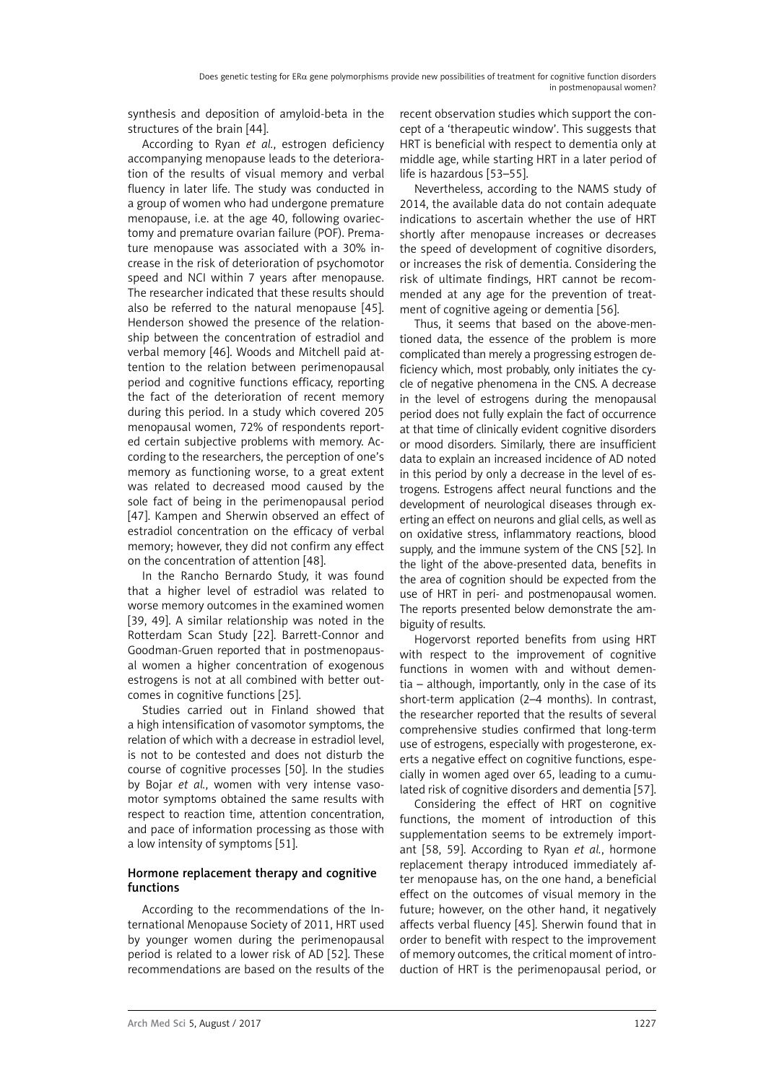synthesis and deposition of amyloid-beta in the structures of the brain [44].

According to Ryan *et al.*, estrogen deficiency accompanying menopause leads to the deterioration of the results of visual memory and verbal fluency in later life. The study was conducted in a group of women who had undergone premature menopause, i.e. at the age 40, following ovariectomy and premature ovarian failure (POF). Premature menopause was associated with a 30% increase in the risk of deterioration of psychomotor speed and NCI within 7 years after menopause. The researcher indicated that these results should also be referred to the natural menopause [45]. Henderson showed the presence of the relationship between the concentration of estradiol and verbal memory [46]. Woods and Mitchell paid attention to the relation between perimenopausal period and cognitive functions efficacy, reporting the fact of the deterioration of recent memory during this period. In a study which covered 205 menopausal women, 72% of respondents reported certain subjective problems with memory. According to the researchers, the perception of one's memory as functioning worse, to a great extent was related to decreased mood caused by the sole fact of being in the perimenopausal period [47]. Kampen and Sherwin observed an effect of estradiol concentration on the efficacy of verbal memory; however, they did not confirm any effect on the concentration of attention [48].

In the Rancho Bernardo Study, it was found that a higher level of estradiol was related to worse memory outcomes in the examined women [39, 49]. A similar relationship was noted in the Rotterdam Scan Study [22]. Barrett-Connor and Goodman-Gruen reported that in postmenopausal women a higher concentration of exogenous estrogens is not at all combined with better outcomes in cognitive functions [25].

Studies carried out in Finland showed that a high intensification of vasomotor symptoms, the relation of which with a decrease in estradiol level, is not to be contested and does not disturb the course of cognitive processes [50]. In the studies by Bojar *et al.*, women with very intense vasomotor symptoms obtained the same results with respect to reaction time, attention concentration, and pace of information processing as those with a low intensity of symptoms [51].

# Hormone replacement therapy and cognitive functions

According to the recommendations of the International Menopause Society of 2011, HRT used by younger women during the perimenopausal period is related to a lower risk of AD [52]. These recommendations are based on the results of the recent observation studies which support the concept of a 'therapeutic window'. This suggests that HRT is beneficial with respect to dementia only at middle age, while starting HRT in a later period of life is hazardous [53–55].

Nevertheless, according to the NAMS study of 2014, the available data do not contain adequate indications to ascertain whether the use of HRT shortly after menopause increases or decreases the speed of development of cognitive disorders, or increases the risk of dementia. Considering the risk of ultimate findings, HRT cannot be recommended at any age for the prevention of treatment of cognitive ageing or dementia [56].

Thus, it seems that based on the above-mentioned data, the essence of the problem is more complicated than merely a progressing estrogen deficiency which, most probably, only initiates the cycle of negative phenomena in the CNS. A decrease in the level of estrogens during the menopausal period does not fully explain the fact of occurrence at that time of clinically evident cognitive disorders or mood disorders. Similarly, there are insufficient data to explain an increased incidence of AD noted in this period by only a decrease in the level of estrogens. Estrogens affect neural functions and the development of neurological diseases through exerting an effect on neurons and glial cells, as well as on oxidative stress, inflammatory reactions, blood supply, and the immune system of the CNS [52]. In the light of the above-presented data, benefits in the area of cognition should be expected from the use of HRT in peri- and postmenopausal women. The reports presented below demonstrate the ambiguity of results.

Hogervorst reported benefits from using HRT with respect to the improvement of cognitive functions in women with and without dementia – although, importantly, only in the case of its short-term application (2–4 months). In contrast, the researcher reported that the results of several comprehensive studies confirmed that long-term use of estrogens, especially with progesterone, exerts a negative effect on cognitive functions, especially in women aged over 65, leading to a cumulated risk of cognitive disorders and dementia [57].

Considering the effect of HRT on cognitive functions, the moment of introduction of this supplementation seems to be extremely important [58, 59]. According to Ryan *et al.*, hormone replacement therapy introduced immediately after menopause has, on the one hand, a beneficial effect on the outcomes of visual memory in the future; however, on the other hand, it negatively affects verbal fluency [45]. Sherwin found that in order to benefit with respect to the improvement of memory outcomes, the critical moment of introduction of HRT is the perimenopausal period, or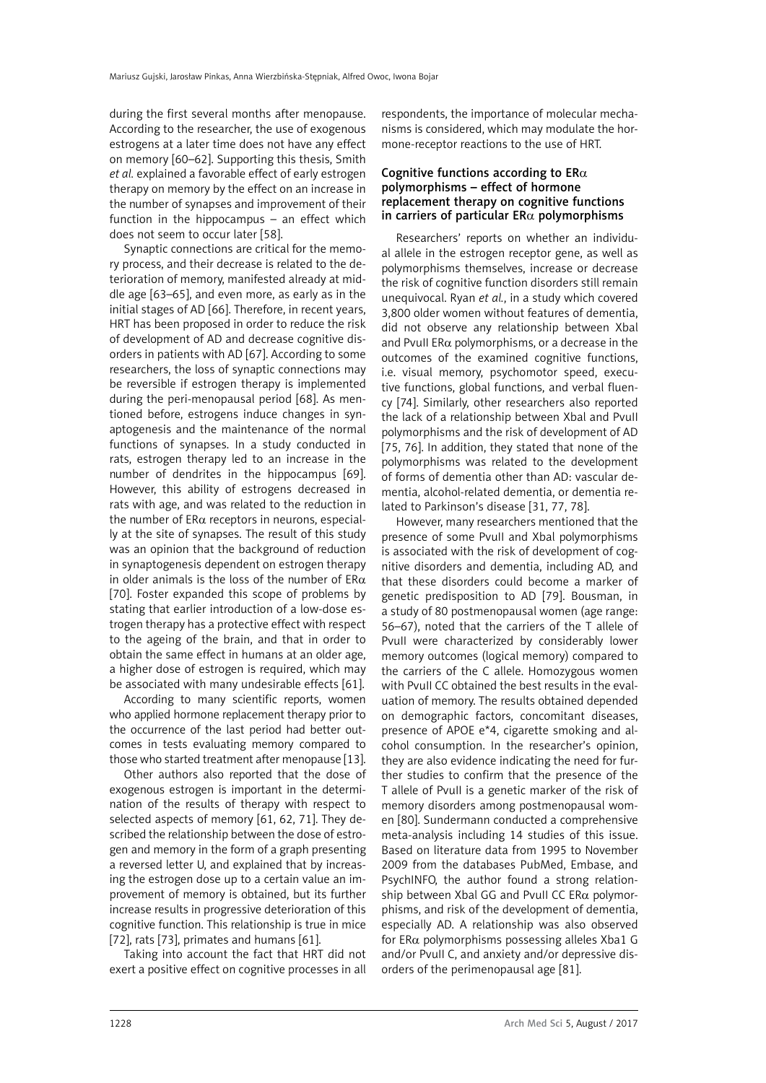during the first several months after menopause. According to the researcher, the use of exogenous estrogens at a later time does not have any effect on memory [60–62]. Supporting this thesis, Smith *et al.* explained a favorable effect of early estrogen therapy on memory by the effect on an increase in the number of synapses and improvement of their function in the hippocampus – an effect which does not seem to occur later [58].

Synaptic connections are critical for the memory process, and their decrease is related to the deterioration of memory, manifested already at middle age [63–65], and even more, as early as in the initial stages of AD [66]. Therefore, in recent years, HRT has been proposed in order to reduce the risk of development of AD and decrease cognitive disorders in patients with AD [67]. According to some researchers, the loss of synaptic connections may be reversible if estrogen therapy is implemented during the peri-menopausal period [68]. As mentioned before, estrogens induce changes in synaptogenesis and the maintenance of the normal functions of synapses. In a study conducted in rats, estrogen therapy led to an increase in the number of dendrites in the hippocampus [69]. However, this ability of estrogens decreased in rats with age, and was related to the reduction in the number of ERα receptors in neurons, especially at the site of synapses. The result of this study was an opinion that the background of reduction in synaptogenesis dependent on estrogen therapy in older animals is the loss of the number of  $ER\alpha$ [70]. Foster expanded this scope of problems by stating that earlier introduction of a low-dose estrogen therapy has a protective effect with respect to the ageing of the brain, and that in order to obtain the same effect in humans at an older age, a higher dose of estrogen is required, which may be associated with many undesirable effects [61].

According to many scientific reports, women who applied hormone replacement therapy prior to the occurrence of the last period had better outcomes in tests evaluating memory compared to those who started treatment after menopause [13].

Other authors also reported that the dose of exogenous estrogen is important in the determination of the results of therapy with respect to selected aspects of memory [61, 62, 71]. They described the relationship between the dose of estrogen and memory in the form of a graph presenting a reversed letter U, and explained that by increasing the estrogen dose up to a certain value an improvement of memory is obtained, but its further increase results in progressive deterioration of this cognitive function. This relationship is true in mice [72], rats [73], primates and humans [61].

Taking into account the fact that HRT did not exert a positive effect on cognitive processes in all

respondents, the importance of molecular mechanisms is considered, which may modulate the hormone-receptor reactions to the use of HRT.

### Cognitive functions according to  $ER\alpha$ polymorphisms – effect of hormone replacement therapy on cognitive functions in carriers of particular  $ER\alpha$  polymorphisms

Researchers' reports on whether an individual allele in the estrogen receptor gene, as well as polymorphisms themselves, increase or decrease the risk of cognitive function disorders still remain unequivocal. Ryan *et al.*, in a study which covered 3,800 older women without features of dementia, did not observe any relationship between Xbal and PvuII ER $\alpha$  polymorphisms, or a decrease in the outcomes of the examined cognitive functions, i.e. visual memory, psychomotor speed, executive functions, global functions, and verbal fluency [74]. Similarly, other researchers also reported the lack of a relationship between Xbal and PvuII polymorphisms and the risk of development of AD [75, 76]. In addition, they stated that none of the polymorphisms was related to the development of forms of dementia other than AD: vascular dementia, alcohol-related dementia, or dementia related to Parkinson's disease [31, 77, 78].

However, many researchers mentioned that the presence of some PvuII and Xbal polymorphisms is associated with the risk of development of cognitive disorders and dementia, including AD, and that these disorders could become a marker of genetic predisposition to AD [79]. Bousman, in a study of 80 postmenopausal women (age range: 56–67), noted that the carriers of the T allele of PvuII were characterized by considerably lower memory outcomes (logical memory) compared to the carriers of the C allele. Homozygous women with PvuII CC obtained the best results in the evaluation of memory. The results obtained depended on demographic factors, concomitant diseases, presence of APOE e\*4, cigarette smoking and alcohol consumption. In the researcher's opinion, they are also evidence indicating the need for further studies to confirm that the presence of the T allele of PvuII is a genetic marker of the risk of memory disorders among postmenopausal women [80]. Sundermann conducted a comprehensive meta-analysis including 14 studies of this issue. Based on literature data from 1995 to November 2009 from the databases PubMed, Embase, and PsychINFO, the author found a strong relationship between Xbal GG and PvuII CC ER $\alpha$  polymorphisms, and risk of the development of dementia, especially AD. A relationship was also observed for  $ER\alpha$  polymorphisms possessing alleles Xba1 G and/or PvuII C, and anxiety and/or depressive disorders of the perimenopausal age [81].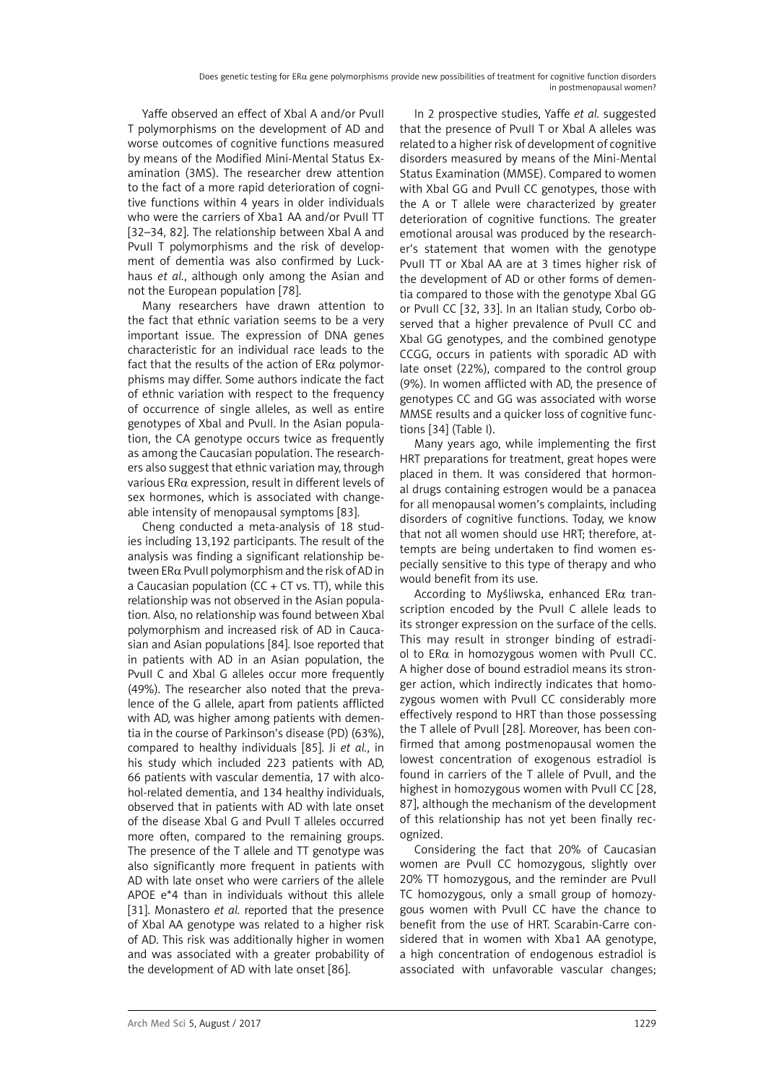Yaffe observed an effect of Xbal A and/or PvuII T polymorphisms on the development of AD and worse outcomes of cognitive functions measured by means of the Modified Mini-Mental Status Examination (3MS). The researcher drew attention to the fact of a more rapid deterioration of cognitive functions within 4 years in older individuals who were the carriers of Xba1 AA and/or Pvull TT [32–34, 82]. The relationship between Xbal A and PvuII T polymorphisms and the risk of development of dementia was also confirmed by Luckhaus *et al.*, although only among the Asian and not the European population [78].

Many researchers have drawn attention to the fact that ethnic variation seems to be a very important issue. The expression of DNA genes characteristic for an individual race leads to the fact that the results of the action of  $ER\alpha$  polymorphisms may differ. Some authors indicate the fact of ethnic variation with respect to the frequency of occurrence of single alleles, as well as entire genotypes of Xbal and PvuII. In the Asian population, the CA genotype occurs twice as frequently as among the Caucasian population. The researchers also suggest that ethnic variation may, through various ERα expression, result in different levels of sex hormones, which is associated with changeable intensity of menopausal symptoms [83].

Cheng conducted a meta-analysis of 18 studies including 13,192 participants. The result of the analysis was finding a significant relationship between ERα PvuII polymorphism and the risk of AD in a Caucasian population (CC  $+$  CT vs. TT), while this relationship was not observed in the Asian population. Also, no relationship was found between Xbal polymorphism and increased risk of AD in Caucasian and Asian populations [84]. Isoe reported that in patients with AD in an Asian population, the PvuII C and Xbal G alleles occur more frequently (49%). The researcher also noted that the prevalence of the G allele, apart from patients afflicted with AD, was higher among patients with dementia in the course of Parkinson's disease (PD) (63%), compared to healthy individuals [85]. Ji *et al.*, in his study which included 223 patients with AD, 66 patients with vascular dementia, 17 with alcohol-related dementia, and 134 healthy individuals, observed that in patients with AD with late onset of the disease Xbal G and PvuII T alleles occurred more often, compared to the remaining groups. The presence of the T allele and TT genotype was also significantly more frequent in patients with AD with late onset who were carriers of the allele APOE e\*4 than in individuals without this allele [31]. Monastero *et al.* reported that the presence of Xbal AA genotype was related to a higher risk of AD. This risk was additionally higher in women and was associated with a greater probability of the development of AD with late onset [86].

In 2 prospective studies, Yaffe *et al.* suggested that the presence of PvuII T or Xbal A alleles was related to a higher risk of development of cognitive disorders measured by means of the Mini-Mental Status Examination (MMSE). Compared to women with Xbal GG and PvuII CC genotypes, those with the A or T allele were characterized by greater deterioration of cognitive functions. The greater emotional arousal was produced by the researcher's statement that women with the genotype PvuII TT or Xbal AA are at 3 times higher risk of the development of AD or other forms of dementia compared to those with the genotype Xbal GG or PvuII CC [32, 33]. In an Italian study, Corbo observed that a higher prevalence of PvuII CC and Xbal GG genotypes, and the combined genotype CCGG, occurs in patients with sporadic AD with late onset (22%), compared to the control group (9%). In women afflicted with AD, the presence of genotypes CC and GG was associated with worse MMSE results and a quicker loss of cognitive functions [34] (Table I).

Many years ago, while implementing the first HRT preparations for treatment, great hopes were placed in them. It was considered that hormonal drugs containing estrogen would be a panacea for all menopausal women's complaints, including disorders of cognitive functions. Today, we know that not all women should use HRT; therefore, attempts are being undertaken to find women especially sensitive to this type of therapy and who would benefit from its use.

According to Myśliwska, enhanced ER $\alpha$  transcription encoded by the PvuII C allele leads to its stronger expression on the surface of the cells. This may result in stronger binding of estradiol to ER $\alpha$  in homozygous women with PvuII CC. A higher dose of bound estradiol means its stronger action, which indirectly indicates that homozygous women with PvuII CC considerably more effectively respond to HRT than those possessing the T allele of PvuII [28]. Moreover, has been confirmed that among postmenopausal women the lowest concentration of exogenous estradiol is found in carriers of the T allele of PvuII, and the highest in homozygous women with PvuII CC [28, 87], although the mechanism of the development of this relationship has not yet been finally recognized.

Considering the fact that 20% of Caucasian women are PvuII CC homozygous, slightly over 20% TT homozygous, and the reminder are PvuII TC homozygous, only a small group of homozygous women with PvuII CC have the chance to benefit from the use of HRT. Scarabin-Carre considered that in women with Xba1 AA genotype, a high concentration of endogenous estradiol is associated with unfavorable vascular changes;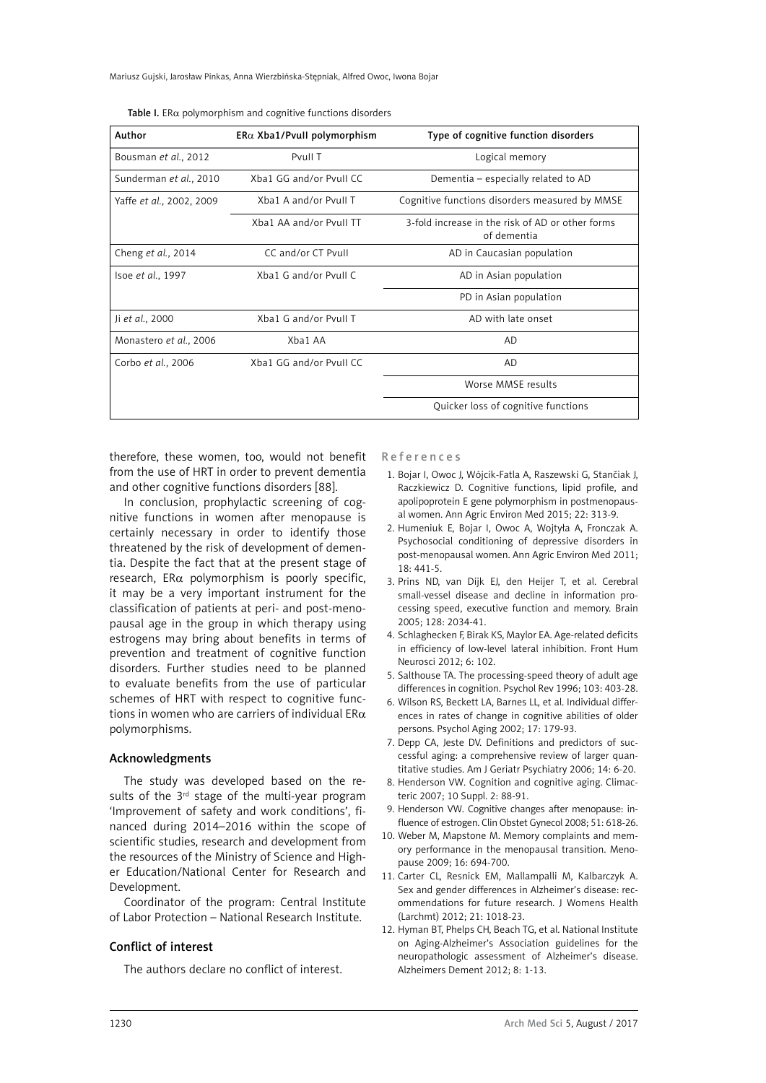Mariusz Gujski, Jarosław Pinkas, Anna Wierzbińska-Stępniak, Alfred Owoc, Iwona Bojar

| Author                   | $ER\alpha$ Xba1/Pvull polymorphism | Type of cognitive function disorders                            |
|--------------------------|------------------------------------|-----------------------------------------------------------------|
| Bousman et al., 2012     | Pvull T                            | Logical memory                                                  |
| Sunderman et al., 2010   | Xba1 GG and/or Pvull CC            | Dementia – especially related to AD                             |
| Yaffe et al., 2002, 2009 | Xba1 A and/or Pvull T              | Cognitive functions disorders measured by MMSE                  |
|                          | Xba1 AA and/or Pvull TT            | 3-fold increase in the risk of AD or other forms<br>of dementia |
| Cheng et al., 2014       | CC and/or CT Pvull                 | AD in Caucasian population                                      |
| Isoe et al., 1997        | Xba1 G and/or Pvull C              | AD in Asian population                                          |
|                          |                                    | PD in Asian population                                          |
| Ji et al., 2000          | Xba1 G and/or Pvull T              | AD with late onset                                              |
| Monastero et al., 2006   | Xba1 AA                            | AD                                                              |
| Corbo et al., 2006       | Xba1 GG and/or Pvull CC            | AD                                                              |
|                          |                                    | Worse MMSE results                                              |
|                          |                                    | Quicker loss of cognitive functions                             |

therefore, these women, too, would not benefit from the use of HRT in order to prevent dementia and other cognitive functions disorders [88].

In conclusion, prophylactic screening of cognitive functions in women after menopause is certainly necessary in order to identify those threatened by the risk of development of dementia. Despite the fact that at the present stage of research,  $ER\alpha$  polymorphism is poorly specific, it may be a very important instrument for the classification of patients at peri- and post-menopausal age in the group in which therapy using estrogens may bring about benefits in terms of prevention and treatment of cognitive function disorders. Further studies need to be planned to evaluate benefits from the use of particular schemes of HRT with respect to cognitive functions in women who are carriers of individual ER $\alpha$ polymorphisms.

#### Acknowledgments

The study was developed based on the results of the  $3<sup>rd</sup>$  stage of the multi-year program 'Improvement of safety and work conditions', financed during 2014–2016 within the scope of scientific studies, research and development from the resources of the Ministry of Science and Higher Education/National Center for Research and Development.

Coordinator of the program: Central Institute of Labor Protection – National Research Institute.

## Conflict of interest

The authors declare no conflict of interest.

References

- 1. Bojar I, Owoc J, Wójcik-Fatla A, Raszewski G, Stančiak J, Raczkiewicz D. Cognitive functions, lipid profile, and apolipoprotein E gene polymorphism in postmenopausal women. Ann Agric Environ Med 2015; 22: 313-9.
- 2. Humeniuk E, Bojar I, Owoc A, Wojtyła A, Fronczak A. Psychosocial conditioning of depressive disorders in post-menopausal women. Ann Agric Environ Med 2011;  $18.441 - 5$
- 3. [Prins ND](http://www.ncbi.nlm.nih.gov/pubmed/?term=Prins ND%5BAuthor%5D&cauthor=true&cauthor_uid=15947059), [van Dijk EJ](http://www.ncbi.nlm.nih.gov/pubmed/?term=van Dijk EJ%5BAuthor%5D&cauthor=true&cauthor_uid=15947059), [den Heijer T](http://www.ncbi.nlm.nih.gov/pubmed/?term=den Heijer T%5BAuthor%5D&cauthor=true&cauthor_uid=15947059), et al. Cerebral small-vessel disease and decline in information processing speed, executive function and memory. [Brain](http://www.ncbi.nlm.nih.gov/pubmed/15947059) 2005; 128: 2034-41.
- 4. Schlaghecken F, Birak KS, Maylor EA. [Age-related deficits](http://www.ncbi.nlm.nih.gov/pubmed/22557955) [in efficiency of low-level lateral inhibition.](http://www.ncbi.nlm.nih.gov/pubmed/22557955) Front Hum Neurosci 2012; 6: 102.
- 5. Salthouse TA. The processing-speed theory of adult age differences in cognition. Psychol Rev 1996; 103: 403-28.
- 6. [Wilson RS,](http://www.ncbi.nlm.nih.gov/pubmed/?term=Wilson RS%5BAuthor%5D&cauthor=true&cauthor_uid=12061405) [Beckett LA](http://www.ncbi.nlm.nih.gov/pubmed/?term=Beckett LA%5BAuthor%5D&cauthor=true&cauthor_uid=12061405), [Barnes LL](http://www.ncbi.nlm.nih.gov/pubmed/?term=Barnes LL%5BAuthor%5D&cauthor=true&cauthor_uid=12061405), et al. Individual differences in rates of change in cognitive abilities of older persons. [Psychol Aging](http://www.ncbi.nlm.nih.gov/pubmed/12061405) 2002; 17: 179-93.
- 7. Depp CA, Jeste DV. [Definitions and predictors of suc](http://www.ncbi.nlm.nih.gov/pubmed/16407577)[cessful aging: a comprehensive review of larger quan](http://www.ncbi.nlm.nih.gov/pubmed/16407577)[titative studies.](http://www.ncbi.nlm.nih.gov/pubmed/16407577) Am J Geriatr Psychiatry 2006; 14: 6-20.
- 8. Henderson VW. Cognition and cognitive aging. Climacteric 2007; 10 Suppl. 2: 88-91.
- 9. Henderson VW. [Cognitive changes after menopause: in](http://www.ncbi.nlm.nih.gov/pubmed/18677155)[fluence of estrogen.](http://www.ncbi.nlm.nih.gov/pubmed/18677155) Clin Obstet Gynecol 2008; 51: 618-26.
- 10. [Weber M](http://www.ncbi.nlm.nih.gov/pubmed/?term=Weber M%5BAuthor%5D&cauthor=true&cauthor_uid=19276998), [Mapstone M](http://www.ncbi.nlm.nih.gov/pubmed/?term=Mapstone M%5BAuthor%5D&cauthor=true&cauthor_uid=19276998). Memory complaints and memory performance in the menopausal transition. [Meno](http://www.ncbi.nlm.nih.gov/pubmed/?term=Weber+Mapstone+2009)[pause](http://www.ncbi.nlm.nih.gov/pubmed/?term=Weber+Mapstone+2009) 2009; 16: 694-700.
- 11. Carter CL, Resnick EM, Mallampalli M, Kalbarczyk A. Sex and gender differences in Alzheimer's disease: recommendations for future research. [J Womens Health](http://www.ncbi.nlm.nih.gov/pubmed/22917473) [\(Larchmt\)](http://www.ncbi.nlm.nih.gov/pubmed/22917473) 2012; 21: 1018-23.
- 12. Hyman BT, [Phelps CH](http://www.ncbi.nlm.nih.gov/pubmed/?term=Phelps CH%5BAuthor%5D&cauthor=true&cauthor_uid=22265587), [Beach TG](http://www.ncbi.nlm.nih.gov/pubmed/?term=Beach TG%5BAuthor%5D&cauthor=true&cauthor_uid=22265587), et al. National Institute on Aging-Alzheimer's Association guidelines for the neuropathologic assessment of Alzheimer's disease. [Alzheimers Dement 2012; 8: 1-13.](http://www.ncbi.nlm.nih.gov/entrez/eutils/elink.fcgi?dbfrom=pubmed&retmode=ref&cmd=prlinks&id=22265587)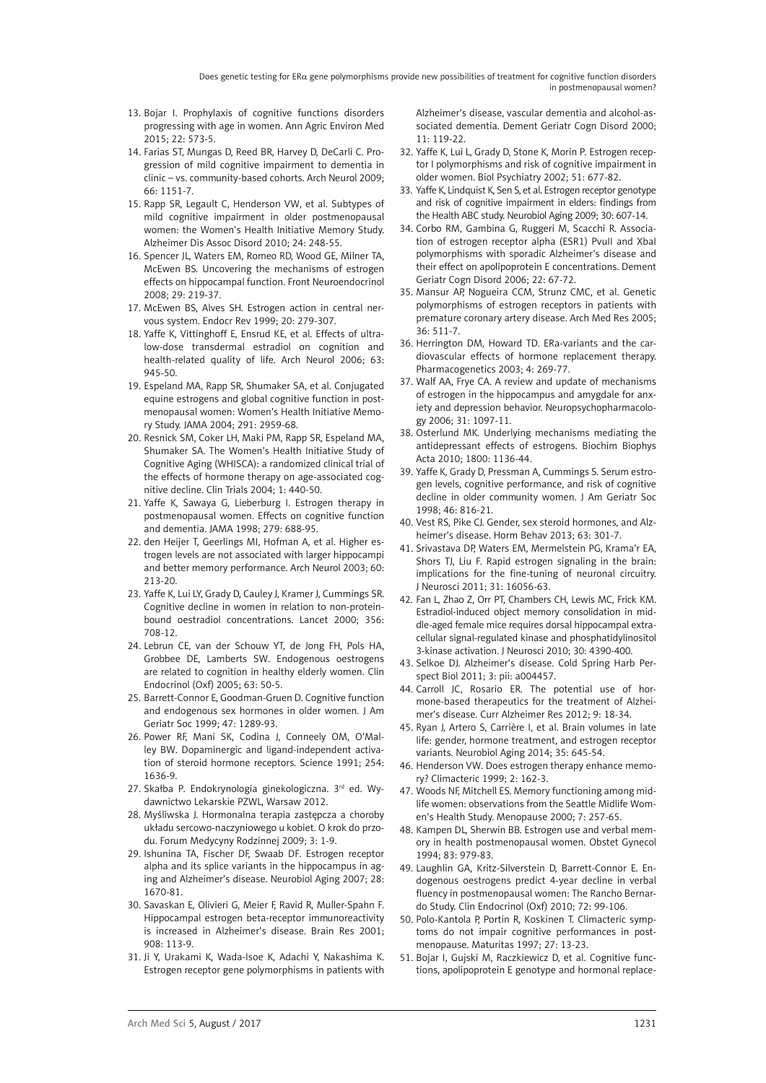Does genetic testing for ERα gene polymorphisms provide new possibilities of treatment for cognitive function disorders in postmenopausal women?

- 13. Bojar I. Prophylaxis of cognitive functions disorders progressing with age in women. Ann Agric Environ Med 2015; 22: 573-5.
- 14. Farias ST, Mungas D, Reed BR, Harvey D, DeCarli C. Progression of mild cognitive impairment to dementia in clinic – vs. community-based cohorts. Arch Neurol 2009; 66: 1151-7.
- 15. Rapp SR, Legault C, Henderson VW, et al. Subtypes of mild cognitive impairment in older postmenopausal women: the Women's Health Initiative Memory Study. Alzheimer Dis Assoc Disord 2010; 24: 248-55.
- 16. Spencer JL, Waters EM, Romeo RD, Wood GE, Milner TA, McEwen BS. Uncovering the mechanisms of estrogen effects on hippocampal function. Front Neuroendocrinol 2008; 29: 219-37.
- 17. McEwen BS, Alves SH. Estrogen action in central nervous system. Endocr Rev 1999; 20: 279-307.
- 18. Yaffe K, Vittinghoff E, Ensrud KE, et al. Effects of ultralow-dose transdermal estradiol on cognition and health-related quality of life. Arch Neurol 2006; 63: 945-50.
- 19. Espeland MA, Rapp SR, Shumaker SA, et al. Conjugated equine estrogens and global cognitive function in postmenopausal women: Women's Health Initiative Memory Study. JAMA 2004; 291: 2959-68.
- 20. Resnick SM, Coker LH, Maki PM, Rapp SR, Espeland MA, Shumaker SA. The Women's Health Initiative Study of Cognitive Aging (WHISCA): a randomized clinical trial of the effects of hormone therapy on age-associated cognitive decline. Clin Trials 2004; 1: 440-50.
- 21. Yaffe K, Sawaya G, Lieberburg I. Estrogen therapy in postmenopausal women. Effects on cognitive function and dementia. JAMA 1998; 279: 688-95.
- 22. den Heijer T, Geerlings MI, Hofman A, et al. Higher estrogen levels are not associated with larger hippocampi and better memory performance. Arch Neurol 2003; 60: 213-20.
- 23. Yaffe K, Lui LY, Grady D, Cauley J, Kramer J, Cummings SR. Cognitive decline in women in relation to non-proteinbound oestradiol concentrations. Lancet 2000; 356: 708-12.
- 24. Lebrun CE, [van der Schouw YT,](http://www.ncbi.nlm.nih.gov/pubmed/?term=van der Schouw YT%5BAuthor%5D&cauthor=true&cauthor_uid=15963061) [de Jong FH](http://www.ncbi.nlm.nih.gov/pubmed/?term=de Jong FH%5BAuthor%5D&cauthor=true&cauthor_uid=15963061), [Pols HA,](http://www.ncbi.nlm.nih.gov/pubmed/?term=Pols HA%5BAuthor%5D&cauthor=true&cauthor_uid=15963061) [Grobbee DE](http://www.ncbi.nlm.nih.gov/pubmed/?term=Grobbee DE%5BAuthor%5D&cauthor=true&cauthor_uid=15963061), [Lamberts SW](http://www.ncbi.nlm.nih.gov/pubmed/?term=Lamberts SW%5BAuthor%5D&cauthor=true&cauthor_uid=15963061). Endogenous oestrogens are related to cognition in healthy elderly women. Clin Endocrinol (Oxf) 2005; 63: 50-5.
- 25. Barrett-Connor E, Goodman-Gruen D. Cognitive function and endogenous sex hormones in older women. J Am Geriatr Soc 1999; 47: 1289-93.
- 26. Power RF, Mani SK, Codina J, Conneely OM, O'Malley BW. Dopaminergic and ligand-independent activation of steroid hormone receptors. Science 1991; 254: 1636-9.
- 27. Skałba P. Endokrynologia ginekologiczna. 3<sup>rd</sup> ed. Wydawnictwo Lekarskie PZWL, Warsaw 2012.
- 28. Myśliwska J. Hormonalna terapia zastępcza a choroby układu sercowo-naczyniowego u kobiet. O krok do przodu. Forum Medycyny Rodzinnej 2009; 3: 1-9.
- 29. Ishunina TA, Fischer DF, Swaab DF. Estrogen receptor alpha and its splice variants in the hippocampus in aging and Alzheimer's disease. Neurobiol Aging 2007; 28: 1670-81.
- 30. Savaskan E, Olivieri G, Meier F, Ravid R, Muller-Spahn F. Hippocampal estrogen beta-receptor immunoreactivity is increased in Alzheimer's disease. Brain Res 2001; 908: 113-9.
- 31. Ji Y, Urakami K, Wada-Isoe K, Adachi Y, Nakashima K. Estrogen receptor gene polymorphisms in patients with

Alzheimer's disease, vascular dementia and alcohol-associated dementia. Dement Geriatr Cogn Disord 2000; 11: 119-22.

- 32. Yaffe K, Lui L, Grady D, Stone K, Morin P. Estrogen receptor I polymorphisms and risk of cognitive impairment in older women. Biol Psychiatry 2002; 51: 677-82.
- 33. Yaffe K, Lindquist K, Sen S, et al. Estrogen receptor genotype and risk of cognitive impairment in elders: findings from the Health ABC study. Neurobiol Aging 2009; 30: 607-14.
- 34. Corbo RM, Gambina G, Ruggeri M, Scacchi R. Association of estrogen receptor alpha (ESR1) PvuII and XbaI polymorphisms with sporadic Alzheimer's disease and their effect on apolipoprotein E concentrations. Dement Geriatr Cogn Disord 2006; 22: 67-72.
- 35. Mansur AP, Nogueira CCM, Strunz CMC, et al. Genetic polymorphisms of estrogen receptors in patients with premature coronary artery disease. Arch Med Res 2005; 36: 511-7.
- 36. Herrington DM, Howard TD. ERa-variants and the cardiovascular effects of hormone replacement therapy. Pharmacogenetics 2003; 4: 269-77.
- 37. Walf AA, Frye CA. A review and update of mechanisms of estrogen in the hippocampus and amygdale for anxiety and depression behavior. Neuropsychopharmacology 2006; 31: 1097-11.
- 38. Osterlund MK. Underlying mechanisms mediating the antidepressant effects of estrogens. Biochim Biophys Acta 2010; 1800: 1136-44.
- 39. Yaffe K, Grady D, Pressman A, Cummings S. Serum estrogen levels, cognitive performance, and risk of cognitive decline in older community women. J Am Geriatr Soc 1998; 46: 816-21.
- 40. Vest RS, Pike CJ. Gender, sex steroid hormones, and Alzheimer's disease. [Horm Behav](http://www.ncbi.nlm.nih.gov/pubmed/?term=Vest+RS%2C+Pike+CJ.+Gender%2C+sex+steroid+hormones%2C+and+Alzheimer%E2%80%99s+disease) 2013; 63: 301-7.
- 41. Srivastava DP, Waters EM, Mermelstein PG, Krama'r EA, Shors TJ, Liu F. Rapid estrogen signaling in the brain: implications for the fine-tuning of neuronal circuitry. J Neurosci 2011; 31: 16056-63.
- 42. Fan L, Zhao Z, Orr PT, Chambers CH, Lewis MC, Frick KM. Estradiol-induced object memory consolidation in middle-aged female mice requires dorsal hippocampal extracellular signal-regulated kinase and phosphatidylinositol 3-kinase activation. J Neurosci 2010; 30: 4390-400.
- 43. Selkoe DJ. Alzheimer's disease. Cold Spring Harb Perspect Biol 2011; 3: pii: a004457.
- 44. Carroll JC, Rosario ER. The potential use of hormone-based therapeutics for the treatment of Alzheimer's disease. Curr Alzheimer Res 2012; 9: 18-34.
- 45. [Ryan J,](http://www.ncbi.nlm.nih.gov/pubmed?term=Ryan J%5BAuthor%5D&cauthor=true&cauthor_uid=24269019) [Artero S,](http://www.ncbi.nlm.nih.gov/pubmed?term=Artero S%5BAuthor%5D&cauthor=true&cauthor_uid=24269019) [Carrière I,](http://www.ncbi.nlm.nih.gov/pubmed?term=Carri%C3%A8re I%5BAuthor%5D&cauthor=true&cauthor_uid=24269019) et al. Brain volumes in late life: gender, hormone treatment, and estrogen receptor variants. [Neurobiol Aging](http://www.ncbi.nlm.nih.gov/pubmed/24269019) 2014; 35: 645-54.
- 46. Henderson VW. Does estrogen therapy enhance memory? Climacteric 1999; 2: 162-3.
- 47. Woods NF, Mitchell ES. Memory functioning among midlife women: observations from the Seattle Midlife Women's Health Study. Menopause 2000; 7: 257-65.
- 48. Kampen DL, Sherwin BB. Estrogen use and verbal memory in health postmenopausal women. Obstet Gynecol 1994; 83: 979-83.
- 49. Laughlin GA, Kritz-Silverstein D, Barrett-Connor E. Endogenous oestrogens predict 4-year decline in verbal fluency in postmenopausal women: The Rancho Bernardo Study. Clin Endocrinol (Oxf) 2010; 72: 99-106.
- 50. Polo-Kantola P, Portin R, Koskinen T. Climacteric symptoms do not impair cognitive performances in postmenopause. Maturitas 1997; 27: 13-23.
- 51. [Bojar I](http://www.ncbi.nlm.nih.gov/pubmed?term=Bojar I%5BAuthor%5D&cauthor=true&cauthor_uid=24464001), [Gujski M](http://www.ncbi.nlm.nih.gov/pubmed?term=Gujski M%5BAuthor%5D&cauthor=true&cauthor_uid=24464001), [Raczkiewicz D,](http://www.ncbi.nlm.nih.gov/pubmed?term=Raczkiewicz D%5BAuthor%5D&cauthor=true&cauthor_uid=24464001) et al[.](http://www.ncbi.nlm.nih.gov/pubmed?term=Rothenberg KG%5BAuthor%5D&cauthor=true&cauthor_uid=24464001) Cognitive functions, apolipoprotein E genotype and hormonal replace-